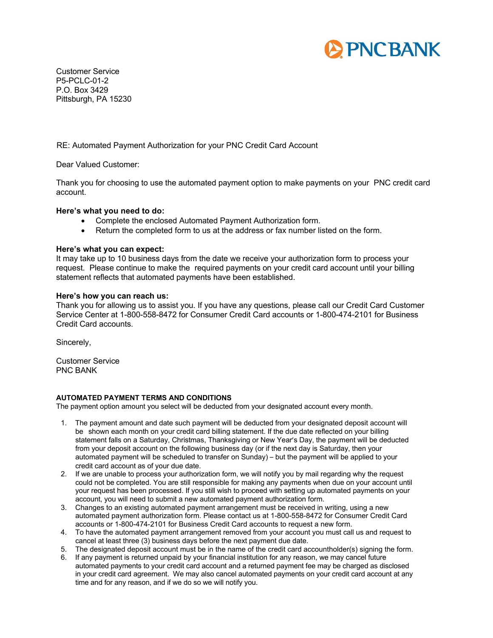

Customer Service P5-PCLC-01-2 P.O. Box 3429 Pittsburgh, PA 15230

RE: Automated Payment Authorization for your PNC Credit Card Account

Dear Valued Customer:

Thank you for choosing to use the automated payment option to make payments on your PNC credit card account.

## **Here's what you need to do:**

- Complete the enclosed Automated Payment Authorization form.
- Return the completed form to us at the address or fax number listed on the form.

## **Here's what you can expect:**

It may take up to 10 business days from the date we receive your authorization form to process your request. Please continue to make the required payments on your credit card account until your billing statement reflects that automated payments have been established.

## **Here's how you can reach us:**

Thank you for allowing us to assist you. If you have any questions, please call our Credit Card Customer Service Center at 1-800-558-8472 for Consumer Credit Card accounts or 1-800-474-2101 for Business Credit Card accounts.

Sincerely,

Customer Service PNC BANK

## **AUTOMATED PAYMENT TERMS AND CONDITIONS**

The payment option amount you select will be deducted from your designated account every month.

- 1. The payment amount and date such payment will be deducted from your designated deposit account will be shown each month on your credit card billing statement. If the due date reflected on your billing statement falls on a Saturday, Christmas, Thanksgiving or New Year's Day, the payment will be deducted from your deposit account on the following business day (or if the next day is Saturday, then your automated payment will be scheduled to transfer on Sunday) – but the payment will be applied to your credit card account as of your due date.
- 2. If we are unable to process your authorization form, we will notify you by mail regarding why the request could not be completed. You are still responsible for making any payments when due on your account until your request has been processed. If you still wish to proceed with setting up automated payments on your account, you will need to submit a new automated payment authorization form.
- 3. Changes to an existing automated payment arrangement must be received in writing, using a new automated payment authorization form. Please contact us at 1-800-558-8472 for Consumer Credit Card accounts or 1-800-474-2101 for Business Credit Card accounts to request a new form.
- 4. To have the automated payment arrangement removed from your account you must call us and request to cancel at least three (3) business days before the next payment due date.
- 5. The designated deposit account must be in the name of the credit card accountholder(s) signing the form.
- 6. If any payment is returned unpaid by your financial institution for any reason, we may cancel future automated payments to your credit card account and a returned payment fee may be charged as disclosed in your credit card agreement. We may also cancel automated payments on your credit card account at any time and for any reason, and if we do so we will notify you.